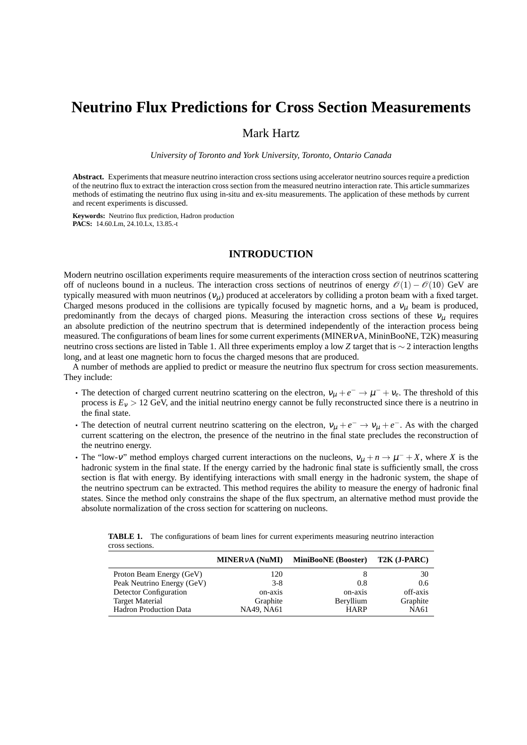# **Neutrino Flux Predictions for Cross Section Measurements**

# Mark Hartz

*University of Toronto and York University, Toronto, Ontario Canada*

**Abstract.** Experiments that measure neutrino interaction cross sections using accelerator neutrino sources require a prediction of the neutrino flux to extract the interaction cross section from the measured neutrino interaction rate. This article summarizes methods of estimating the neutrino flux using in-situ and ex-situ measurements. The application of these methods by current and recent experiments is discussed.

**Keywords:** Neutrino flux prediction, Hadron production **PACS:** 14.60.Lm, 24.10.Lx, 13.85.-t

## **INTRODUCTION**

Modern neutrino oscillation experiments require measurements of the interaction cross section of neutrinos scattering off of nucleons bound in a nucleus. The interaction cross sections of neutrinos of energy  $\mathcal{O}(1) - \mathcal{O}(10)$  GeV are typically measured with muon neutrinos  $(v_\mu)$  produced at accelerators by colliding a proton beam with a fixed target. Charged mesons produced in the collisions are typically focused by magnetic horns, and a  $v<sub>u</sub>$  beam is produced, predominantly from the decays of charged pions. Measuring the interaction cross sections of these  $v_{\mu}$  requires an absolute prediction of the neutrino spectrum that is determined independently of the interaction process being measured. The configurations of beam lines for some current experiments (MINER<sub>V</sub>A, MininBooNE, T2K) measuring neutrino cross sections are listed in Table 1. All three experiments employ a low *Z* target that is ∼ 2 interaction lengths long, and at least one magnetic horn to focus the charged mesons that are produced.

A number of methods are applied to predict or measure the neutrino flux spectrum for cross section measurements. They include:

- The detection of charged current neutrino scattering on the electron,  $v_\mu + e^- \to \mu^- + v_e$ . The threshold of this process is  $E_v > 12$  GeV, and the initial neutrino energy cannot be fully reconstructed since there is a neutrino in the final state.
- The detection of neutral current neutrino scattering on the electron,  $v_\mu + e^- \to v_\mu + e^-$ . As with the charged current scattering on the electron, the presence of the neutrino in the final state precludes the reconstruction of the neutrino energy.
- The "low-v" method employs charged current interactions on the nucleons,  $v_{\mu} + n \rightarrow \mu^- + X$ , where *X* is the hadronic system in the final state. If the energy carried by the hadronic final state is sufficiently small, the cross section is flat with energy. By identifying interactions with small energy in the hadronic system, the shape of the neutrino spectrum can be extracted. This method requires the ability to measure the energy of hadronic final states. Since the method only constrains the shape of the flux spectrum, an alternative method must provide the absolute normalization of the cross section for scattering on nucleons.

**TABLE 1.** The configurations of beam lines for current experiments measuring neutrino interaction cross sections.

|                               | <b>MINER</b> <sub>v</sub> A (NuMI) | <b>MiniBooNE</b> (Booster) | T2K (J-PARC) |
|-------------------------------|------------------------------------|----------------------------|--------------|
| Proton Beam Energy (GeV)      | 120                                |                            | 30           |
| Peak Neutrino Energy (GeV)    | $3-8$                              | 0.8                        | 0.6          |
| Detector Configuration        | on-axis                            | on-axis                    | off-axis     |
| <b>Target Material</b>        | Graphite                           | Beryllium                  | Graphite     |
| <b>Hadron Production Data</b> | NA49, NA61                         | <b>HARP</b>                | <b>NA61</b>  |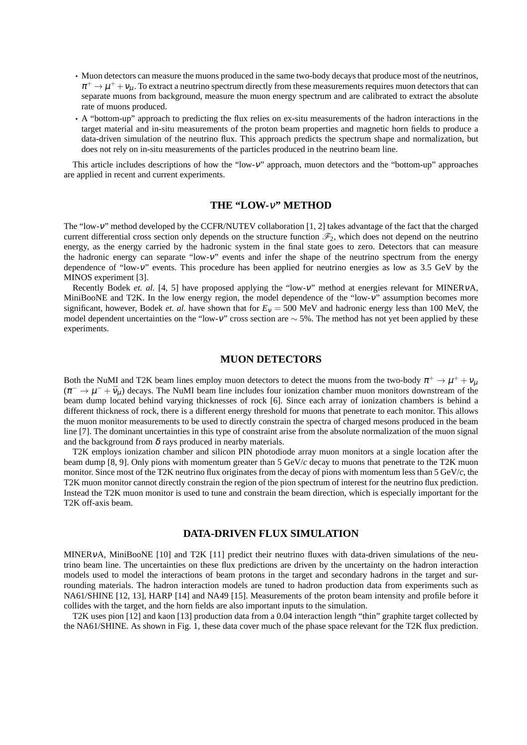- Muon detectors can measure the muons produced in the same two-body decays that produce most of the neutrinos,  $\pi^+\to\mu^++\nu_\mu$ . To extract a neutrino spectrum directly from these measurements requires muon detectors that can separate muons from background, measure the muon energy spectrum and are calibrated to extract the absolute rate of muons produced.
- A "bottom-up" approach to predicting the flux relies on ex-situ measurements of the hadron interactions in the target material and in-situ measurements of the proton beam properties and magnetic horn fields to produce a data-driven simulation of the neutrino flux. This approach predicts the spectrum shape and normalization, but does not rely on in-situ measurements of the particles produced in the neutrino beam line.

This article includes descriptions of how the "low-ν" approach, muon detectors and the "bottom-up" approaches are applied in recent and current experiments.

#### **THE "LOW-**ν**" METHOD**

The "low-ν" method developed by the CCFR/NUTEV collaboration [1, 2] takes advantage of the fact that the charged current differential cross section only depends on the structure function  $\mathscr{F}_2$ , which does not depend on the neutrino energy, as the energy carried by the hadronic system in the final state goes to zero. Detectors that can measure the hadronic energy can separate "low-v" events and infer the shape of the neutrino spectrum from the energy dependence of "low-ν" events. This procedure has been applied for neutrino energies as low as 3.5 GeV by the MINOS experiment [3].

Recently Bodek *et. al.* [4, 5] have proposed applying the "low-v" method at energies relevant for MINERvA, MiniBooNE and T2K. In the low energy region, the model dependence of the "low-v" assumption becomes more significant, however, Bodek *et. al.* have shown that for  $E<sub>v</sub> = 500$  MeV and hadronic energy less than 100 MeV, the model dependent uncertainties on the "low-ν" cross section are ∼ 5%. The method has not yet been applied by these experiments.

#### **MUON DETECTORS**

Both the NuMI and T2K beam lines employ muon detectors to detect the muons from the two-body  $\pi^+ \to \mu^+ + \nu_\mu$  $(\pi^- \to \mu^- + \bar{\nu}_\mu)$  decays. The NuMI beam line includes four ionization chamber muon monitors downstream of the beam dump located behind varying thicknesses of rock [6]. Since each array of ionization chambers is behind a different thickness of rock, there is a different energy threshold for muons that penetrate to each monitor. This allows the muon monitor measurements to be used to directly constrain the spectra of charged mesons produced in the beam line [7]. The dominant uncertainties in this type of constraint arise from the absolute normalization of the muon signal and the background from  $\delta$  rays produced in nearby materials.

T2K employs ionization chamber and silicon PIN photodiode array muon monitors at a single location after the beam dump [8, 9]. Only pions with momentum greater than 5 GeV/*c* decay to muons that penetrate to the T2K muon monitor. Since most of the T2K neutrino flux originates from the decay of pions with momentum less than 5 GeV/*c*, the T2K muon monitor cannot directly constrain the region of the pion spectrum of interest for the neutrino flux prediction. Instead the T2K muon monitor is used to tune and constrain the beam direction, which is especially important for the T2K off-axis beam.

#### **DATA-DRIVEN FLUX SIMULATION**

MINERVA, MiniBooNE [10] and T2K [11] predict their neutrino fluxes with data-driven simulations of the neutrino beam line. The uncertainties on these flux predictions are driven by the uncertainty on the hadron interaction models used to model the interactions of beam protons in the target and secondary hadrons in the target and surrounding materials. The hadron interaction models are tuned to hadron production data from experiments such as NA61/SHINE [12, 13], HARP [14] and NA49 [15]. Measurements of the proton beam intensity and profile before it collides with the target, and the horn fields are also important inputs to the simulation.

T2K uses pion [12] and kaon [13] production data from a 0.04 interaction length "thin" graphite target collected by the NA61/SHINE. As shown in Fig. 1, these data cover much of the phase space relevant for the T2K flux prediction.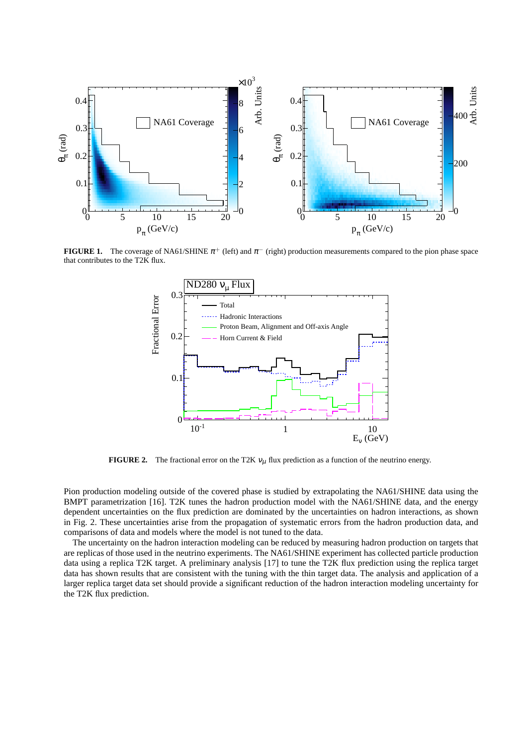

**FIGURE 1.** The coverage of NA61/SHINE  $\pi^+$  (left) and  $\pi^-$  (right) production measurements compared to the pion phase space that contributes to the T2K flux.



**FIGURE 2.** The fractional error on the T2K  $v_{\mu}$  flux prediction as a function of the neutrino energy.

Pion production modeling outside of the covered phase is studied by extrapolating the NA61/SHINE data using the BMPT parametrization [16]. T2K tunes the hadron production model with the NA61/SHINE data, and the energy dependent uncertainties on the flux prediction are dominated by the uncertainties on hadron interactions, as shown in Fig. 2. These uncertainties arise from the propagation of systematic errors from the hadron production data, and comparisons of data and models where the model is not tuned to the data.

The uncertainty on the hadron interaction modeling can be reduced by measuring hadron production on targets that are replicas of those used in the neutrino experiments. The NA61/SHINE experiment has collected particle production data using a replica T2K target. A preliminary analysis [17] to tune the T2K flux prediction using the replica target data has shown results that are consistent with the tuning with the thin target data. The analysis and application of a larger replica target data set should provide a significant reduction of the hadron interaction modeling uncertainty for the T2K flux prediction.